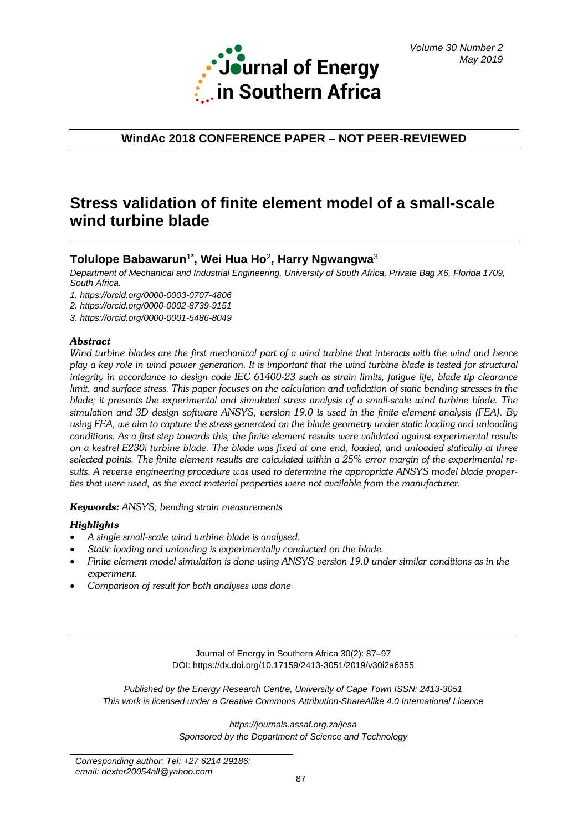

**WindAc 2018 CONFERENCE PAPER – NOT PEER-REVIEWED**

# **Stress validation of finite element model of a small-scale wind turbine blade**

# **Tolulope Babawarun**<sup>1</sup>**\* , Wei Hua Ho**<sup>2</sup>**, Harry Ngwangwa**<sup>3</sup>

*Department of Mechanical and Industrial Engineering, University of South Africa, Private Bag X6, Florida 1709, South Africa.*

*1.<https://orcid.org/0000-0003-0707-4806>*

*2. <https://orcid.org/0000-0002-8739-9151>*

*3.<https://orcid.org/0000-0001-5486-8049>*

# *Abstract*

*Wind turbine blades are the first mechanical part of a wind turbine that interacts with the wind and hence play a key role in wind power generation. It is important that the wind turbine blade is tested for structural integrity in accordance to design code IEC 61400-23 such as strain limits, fatigue life, blade tip clearance limit, and surface stress. This paper focuses on the calculation and validation of static bending stresses in the blade; it presents the experimental and simulated stress analysis of a small-scale wind turbine blade. The simulation and 3D design software ANSYS, version 19.0 is used in the finite element analysis (FEA). By using FEA, we aim to capture the stress generated on the blade geometry under static loading and unloading conditions. As a first step towards this, the finite element results were validated against experimental results on a kestrel E230i turbine blade. The blade was fixed at one end, loaded, and unloaded statically at three selected points. The finite element results are calculated within a 25% error margin of the experimental results. A reverse engineering procedure was used to determine the appropriate ANSYS model blade properties that were used, as the exact material properties were not available from the manufacturer.*

*Keywords: ANSYS; bending strain measurements*

# *Highlights*

- *A single small-scale wind turbine blade is analysed.*
- *Static loading and unloading is experimentally conducted on the blade.*
- *Finite element model simulation is done using ANSYS version 19.0 under similar conditions as in the experiment.*
- *Comparison of result for both analyses was done*

Journal of Energy in Southern Africa 30(2): 87–97 DOI: https://dx.doi.org/10.17159/2413-3051/2019/v30i2a6355

*Published by the Energy Research Centre, University of Cape Town ISSN: 2413-3051 This work is licensed under a Creative Commons Attribution-ShareAlike 4.0 International Licence*

> *https://journals.assaf.org.za/jesa Sponsored by the Department of Science and Technology*

*Corresponding author: Tel: +27 6214 29186; email: dexter20054all@yahoo.com*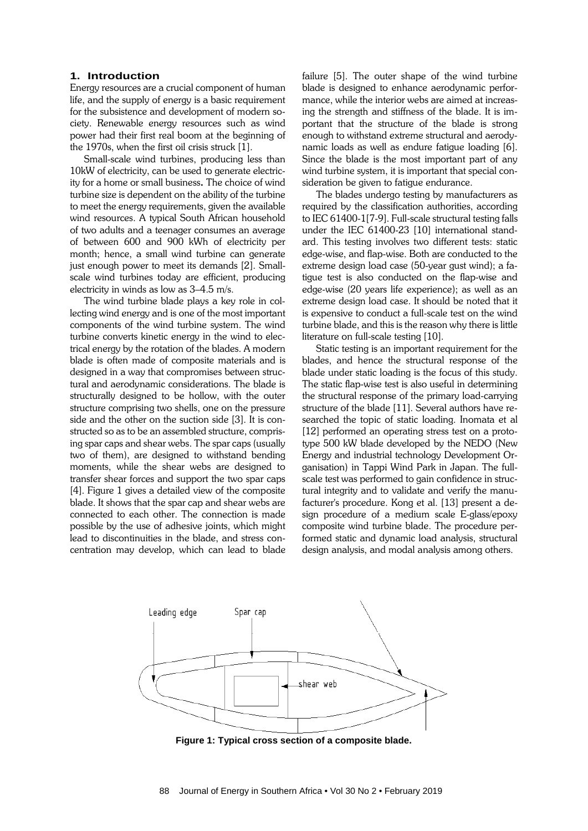### **1. Introduction**

Energy resources are a crucial component of human life, and the supply of energy is a basic requirement for the subsistence and development of modern society. Renewable energy resources such as wind power had their first real boom at the beginning of the 1970s, when the first oil crisis struck [1].

Small-scale wind turbines, producing less than 10kW of electricity, can be used to generate electricity for a home or small business. The choice of wind turbine size is dependent on the ability of the turbine to meet the energy requirements, given the available wind resources. A typical South African household of two adults and a teenager consumes an average of between 600 and 900 kWh of electricity per month; hence, a small wind turbine can generate just enough power to meet its demands [2]. Smallscale wind turbines today are efficient, producing electricity in winds as low as 3–4.5 m/s.

The wind turbine blade plays a key role in collecting wind energy and is one of the most important components of the wind turbine system. The wind turbine converts kinetic energy in the wind to electrical energy by the rotation of the blades. A modern blade is often made of composite materials and is designed in a way that compromises between structural and aerodynamic considerations. The blade is structurally designed to be hollow, with the outer structure comprising two shells, one on the pressure side and the other on the suction side [3]. It is constructed so as to be an assembled structure, comprising spar caps and shear webs. The spar caps (usually two of them), are designed to withstand bending moments, while the shear webs are designed to transfer shear forces and support the two spar caps [4]. Figure 1 gives a detailed view of the composite blade. It shows that the spar cap and shear webs are connected to each other. The connection is made possible by the use of adhesive joints, which might lead to discontinuities in the blade, and stress concentration may develop, which can lead to blade failure [5]. The outer shape of the wind turbine blade is designed to enhance aerodynamic performance, while the interior webs are aimed at increasing the strength and stiffness of the blade. It is important that the structure of the blade is strong enough to withstand extreme structural and aerodynamic loads as well as endure fatigue loading [6]. Since the blade is the most important part of any wind turbine system, it is important that special consideration be given to fatigue endurance.

The blades undergo testing by manufacturers as required by the classification authorities, according to IEC 61400-1[7-9]. Full-scale structural testing falls under the IEC 61400-23 [10] international standard. This testing involves two different tests: static edge-wise, and flap-wise. Both are conducted to the extreme design load case (50-year gust wind); a fatigue test is also conducted on the flap-wise and edge-wise (20 years life experience); as well as an extreme design load case. It should be noted that it is expensive to conduct a full-scale test on the wind turbine blade, and this is the reason why there is little literature on full-scale testing [10].

Static testing is an important requirement for the blades, and hence the structural response of the blade under static loading is the focus of this study. The static flap-wise test is also useful in determining the structural response of the primary load-carrying structure of the blade [11]. Several authors have researched the topic of static loading. Inomata et al [12] performed an operating stress test on a prototype 500 kW blade developed by the NEDO (New Energy and industrial technology Development Organisation) in Tappi Wind Park in Japan. The fullscale test was performed to gain confidence in structural integrity and to validate and verify the manufacturer's procedure. Kong et al. [13] present a design procedure of a medium scale E-glass/epoxy composite wind turbine blade. The procedure performed static and dynamic load analysis, structural design analysis, and modal analysis among others.



**Figure 1: Typical cross section of a composite blade.**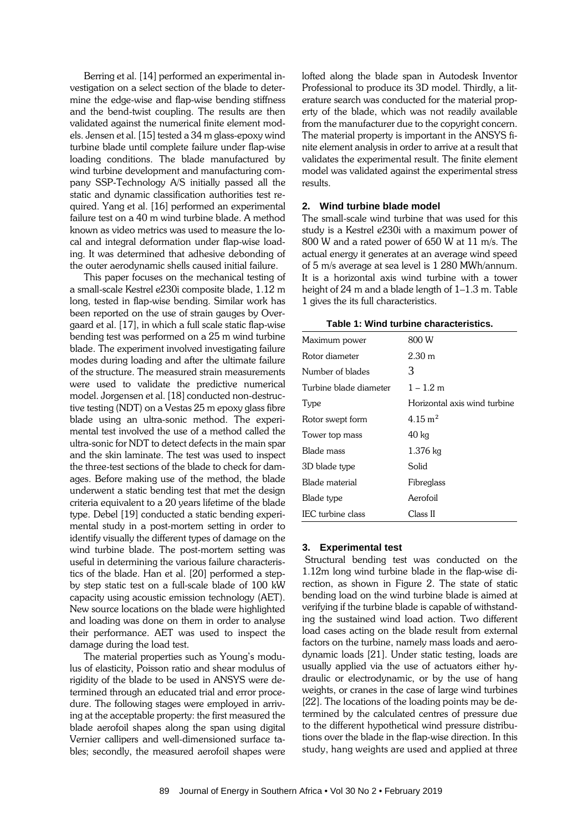Berring et al. [14] performed an experimental investigation on a select section of the blade to determine the edge-wise and flap-wise bending stiffness and the bend-twist coupling. The results are then validated against the numerical finite element models. Jensen et al. [15] tested a 34 m glass-epoxy wind turbine blade until complete failure under flap-wise loading conditions. The blade manufactured by wind turbine development and manufacturing company SSP-Technology A/S initially passed all the static and dynamic classification authorities test required. Yang et al. [16] performed an experimental failure test on a 40 m wind turbine blade. A method known as video metrics was used to measure the local and integral deformation under flap-wise loading. It was determined that adhesive debonding of the outer aerodynamic shells caused initial failure.

This paper focuses on the mechanical testing of a small-scale Kestrel e230i composite blade, 1.12 m long, tested in flap-wise bending. Similar work has been reported on the use of strain gauges by Overgaard et al. [17], in which a full scale static flap-wise bending test was performed on a 25 m wind turbine blade. The experiment involved investigating failure modes during loading and after the ultimate failure of the structure. The measured strain measurements were used to validate the predictive numerical model. Jorgensen et al. [18] conducted non-destructive testing (NDT) on a Vestas 25 m epoxy glass fibre blade using an ultra-sonic method. The experimental test involved the use of a method called the ultra-sonic for NDT to detect defects in the main spar and the skin laminate. The test was used to inspect the three-test sections of the blade to check for damages. Before making use of the method, the blade underwent a static bending test that met the design criteria equivalent to a 20 years lifetime of the blade type. Debel [19] conducted a static bending experimental study in a post-mortem setting in order to identify visually the different types of damage on the wind turbine blade. The post-mortem setting was useful in determining the various failure characteristics of the blade. Han et al. [20] performed a stepby step static test on a full-scale blade of 100 kW capacity using acoustic emission technology (AET). New source locations on the blade were highlighted and loading was done on them in order to analyse their performance. AET was used to inspect the damage during the load test.

The material properties such as Young's modulus of elasticity, Poisson ratio and shear modulus of rigidity of the blade to be used in ANSYS were determined through an educated trial and error procedure. The following stages were employed in arriving at the acceptable property: the first measured the blade aerofoil shapes along the span using digital Vernier callipers and well-dimensioned surface tables; secondly, the measured aerofoil shapes were

lofted along the blade span in Autodesk Inventor Professional to produce its 3D model. Thirdly, a literature search was conducted for the material property of the blade, which was not readily available from the manufacturer due to the copyright concern. The material property is important in the ANSYS finite element analysis in order to arrive at a result that validates the experimental result. The finite element model was validated against the experimental stress results.

#### **2. Wind turbine blade model**

The small-scale wind turbine that was used for this study is a Kestrel e230i with a maximum power of 800 W and a rated power of 650 W at 11 m/s. The actual energy it generates at an average wind speed of 5 m/s average at sea level is 1 280 MWh/annum. It is a horizontal axis wind turbine with a tower height of 24 m and a blade length of 1–1.3 m. Table 1 gives the its full characteristics.

| Table 1: Wind turbine characteristics. |
|----------------------------------------|
|----------------------------------------|

| Maximum power          | 800 W                        |
|------------------------|------------------------------|
| Rotor diameter         | $2.30 \text{ m}$             |
| Number of blades       | 3                            |
| Turbine blade diameter | $1 - 1.2$ m                  |
| Type                   | Horizontal axis wind turbine |
| Rotor swept form       | $4.15 \text{ m}^2$           |
| Tower top mass         | $40\ \mathrm{kg}$            |
| Blade mass             | $1.376$ kg                   |
| 3D blade type          | Solid                        |
| Blade material         | Fibreglass                   |
| Blade type             | Aerofoil                     |
| IEC turbine class      | Class II                     |

#### **3. Experimental test**

Structural bending test was conducted on the 1.12m long wind turbine blade in the flap-wise direction, as shown in Figure 2. The state of static bending load on the wind turbine blade is aimed at verifying if the turbine blade is capable of withstanding the sustained wind load action. Two different load cases acting on the blade result from external factors on the turbine, namely mass loads and aerodynamic loads [21]. Under static testing, loads are usually applied via the use of actuators either hydraulic or electrodynamic, or by the use of hang weights, or cranes in the case of large wind turbines [22]. The locations of the loading points may be determined by the calculated centres of pressure due to the different hypothetical wind pressure distributions over the blade in the flap-wise direction. In this study, hang weights are used and applied at three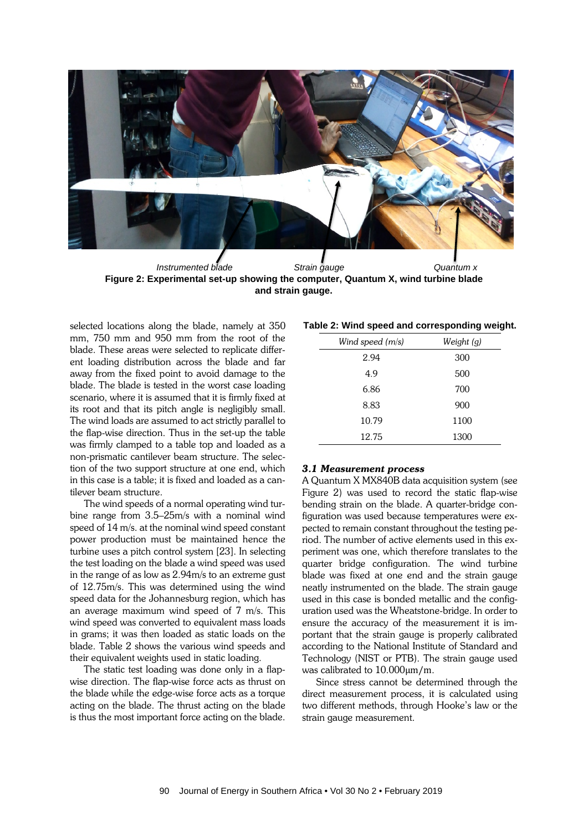

**Figure 2: Experimental set-up showing the computer, Quantum X, wind turbine blade and strain gauge.**

selected locations along the blade, namely at 350 mm, 750 mm and 950 mm from the root of the blade. These areas were selected to replicate different loading distribution across the blade and far away from the fixed point to avoid damage to the blade. The blade is tested in the worst case loading scenario, where it is assumed that it is firmly fixed at its root and that its pitch angle is negligibly small. The wind loads are assumed to act strictly parallel to the flap-wise direction. Thus in the set-up the table was firmly clamped to a table top and loaded as a non-prismatic cantilever beam structure. The selection of the two support structure at one end, which in this case is a table; it is fixed and loaded as a cantilever beam structure.

The wind speeds of a normal operating wind turbine range from 3.5–25m/s with a nominal wind speed of 14 m/s. at the nominal wind speed constant power production must be maintained hence the turbine uses a pitch control system [23]. In selecting the test loading on the blade a wind speed was used in the range of as low as 2.94m/s to an extreme gust of 12.75m/s. This was determined using the wind speed data for the Johannesburg region, which has an average maximum wind speed of 7 m/s. This wind speed was converted to equivalent mass loads in grams; it was then loaded as static loads on the blade. Table 2 shows the various wind speeds and their equivalent weights used in static loading.

The static test loading was done only in a flapwise direction. The flap-wise force acts as thrust on the blade while the edge-wise force acts as a torque acting on the blade. The thrust acting on the blade is thus the most important force acting on the blade.

| Table 2: Wind speed and corresponding weight. |  |  |  |  |
|-----------------------------------------------|--|--|--|--|
|-----------------------------------------------|--|--|--|--|

| Wind speed (m/s) | Weight (g) |
|------------------|------------|
| 2.94             | 300        |
| 4.9              | 500        |
| 6.86             | 700        |
| 8.83             | 900        |
| 10.79            | 1100       |
| 12.75            | 1300       |

### *3.1 Measurement process*

A Quantum X MX840B data acquisition system (see Figure 2) was used to record the static flap-wise bending strain on the blade. A quarter-bridge configuration was used because temperatures were expected to remain constant throughout the testing period. The number of active elements used in this experiment was one, which therefore translates to the quarter bridge configuration. The wind turbine blade was fixed at one end and the strain gauge neatly instrumented on the blade. The strain gauge used in this case is bonded metallic and the configuration used was the Wheatstone-bridge. In order to ensure the accuracy of the measurement it is important that the strain gauge is properly calibrated according to the National Institute of Standard and Technology (NIST or PTB). The strain gauge used was calibrated to 10.000µm/m.

Since stress cannot be determined through the direct measurement process, it is calculated using two different methods, through Hooke's law or the strain gauge measurement.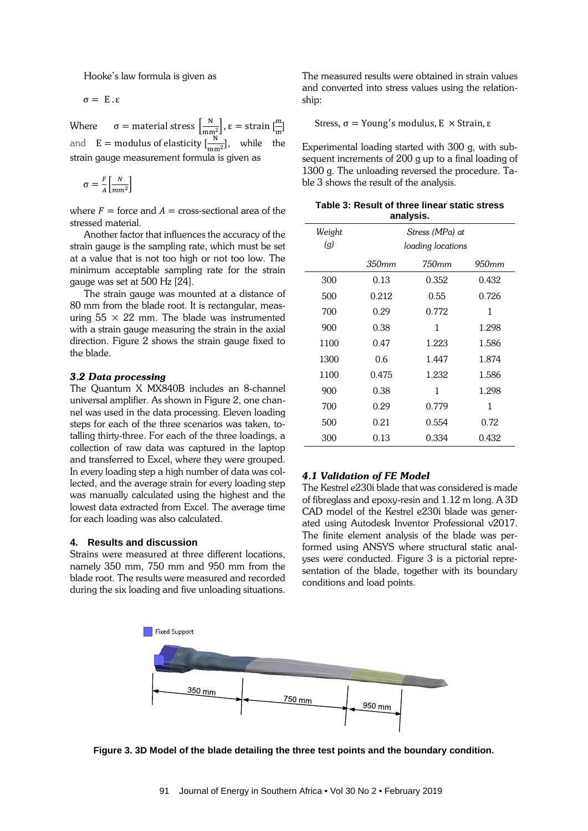Hooke's law formula is given as

σ = E . ε

Where  $\sigma =$  material stress  $\left[\frac{N}{mn^2}\right], \varepsilon =$  strain  $\left[\frac{m}{m}\right]$ and  $E =$  modulus of elasticity  $\left[\frac{N}{mm^2}\right]$ , while the strain gauge measurement formula is given as

$$
\sigma = \frac{F}{A} \left[ \frac{N}{m m^2} \right]
$$

where  $F =$  force and  $A =$  cross-sectional area of the stressed material.

Another factor that influences the accuracy of the strain gauge is the sampling rate, which must be set at a value that is not too high or not too low. The minimum acceptable sampling rate for the strain gauge was set at 500 Hz [24].

The strain gauge was mounted at a distance of 80 mm from the blade root. It is rectangular, measuring  $55 \times 22$  mm. The blade was instrumented with a strain gauge measuring the strain in the axial direction. Figure 2 shows the strain gauge fixed to the blade.

#### *3.2 Data processing*

The Quantum X MX840B includes an 8-channel universal amplifier. As shown in Figure 2, one channel was used in the data processing. Eleven loading steps for each of the three scenarios was taken, totalling thirty-three. For each of the three loadings, a collection of raw data was captured in the laptop and transferred to Excel, where they were grouped. In every loading step a high number of data was collected, and the average strain for every loading step was manually calculated using the highest and the lowest data extracted from Excel. The average time for each loading was also calculated.

#### **4. Results and discussion**

Strains were measured at three different locations, namely 350 mm, 750 mm and 950 mm from the blade root. The results were measured and recorded during the six loading and five unloading situations.

The measured results were obtained in strain values and converted into stress values using the relationship:

Stress,  $σ = Young's$  modulus,  $E \times$  Strain,  $ε$ 

Experimental loading started with 300 g, with subsequent increments of 200 g up to a final loading of 1300 g. The unloading reversed the procedure. Table 3 shows the result of the analysis.

| Table 3: Result of three linear static stress |
|-----------------------------------------------|
| analysis.                                     |

| Weight<br>$\left(\overline{q}\right)$ | Stress (MPa) at<br>loading locations |       |                   |
|---------------------------------------|--------------------------------------|-------|-------------------|
|                                       | 350mm                                | 750mm | 950 <sub>mm</sub> |
| 300                                   | 0.13                                 | 0.352 | 0.432             |
| 500                                   | 0.212                                | 0.55  | 0.726             |
| 700                                   | 0.29                                 | 0.772 | 1                 |
| 900                                   | 0.38                                 | 1     | 1.298             |
| 1100                                  | 0.47                                 | 1.223 | 1.586             |
| 1300                                  | 0.6                                  | 1.447 | 1.874             |
| 1100                                  | 0.475                                | 1.232 | 1.586             |
| 900                                   | 0.38                                 | 1     | 1.298             |
| 700                                   | 0.29                                 | 0.779 | 1                 |
| 500                                   | 0.21                                 | 0.554 | 0.72              |
| 300                                   | 0.13                                 | 0.334 | 0.432             |

#### *4.1 Validation of FE Model*

The Kestrel e230i blade that was considered is made of fibreglass and epoxy-resin and 1.12 m long. A 3D CAD model of the Kestrel e230i blade was generated using Autodesk Inventor Professional v2017. The finite element analysis of the blade was performed using ANSYS where structural static analyses were conducted. Figure 3 is a pictorial representation of the blade, together with its boundary conditions and load points.



**Figure 3. 3D Model of the blade detailing the three test points and the boundary condition.**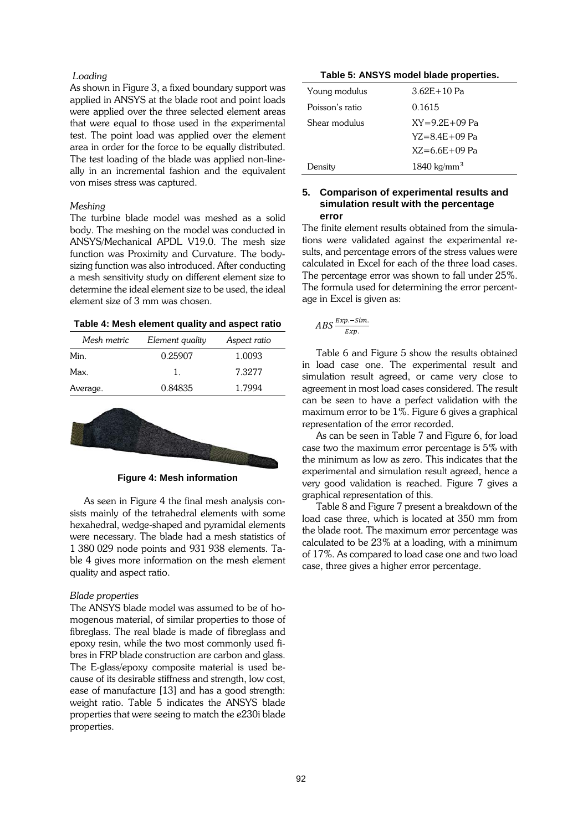#### *Loading*

As shown in Figure 3, a fixed boundary support was applied in ANSYS at the blade root and point loads were applied over the three selected element areas that were equal to those used in the experimental test. The point load was applied over the element area in order for the force to be equally distributed. The test loading of the blade was applied non-lineally in an incremental fashion and the equivalent von mises stress was captured.

#### *Meshing*

The turbine blade model was meshed as a solid body. The meshing on the model was conducted in ANSYS/Mechanical APDL V19.0. The mesh size function was Proximity and Curvature. The bodysizing function was also introduced. After conducting a mesh sensitivity study on different element size to determine the ideal element size to be used, the ideal element size of 3 mm was chosen.

| Table 4: Mesh element quality and aspect ratio |  |  |
|------------------------------------------------|--|--|
|------------------------------------------------|--|--|

| Mesh metric | Element quality | Aspect ratio |
|-------------|-----------------|--------------|
| Min.        | 0.25907         | 1.0093       |
| Max.        | L               | 7.3277       |
| Average.    | 0.84835         | 1.7994       |



**Figure 4: Mesh information**

As seen in Figure 4 the final mesh analysis consists mainly of the tetrahedral elements with some hexahedral, wedge-shaped and pyramidal elements were necessary. The blade had a mesh statistics of 1 380 029 node points and 931 938 elements. Table 4 gives more information on the mesh element quality and aspect ratio.

#### *Blade properties*

The ANSYS blade model was assumed to be of homogenous material, of similar properties to those of fibreglass. The real blade is made of fibreglass and epoxy resin, while the two most commonly used fibres in FRP blade construction are carbon and glass. The E-glass/epoxy composite material is used because of its desirable stiffness and strength, low cost, ease of manufacture [13] and has a good strength: weight ratio. Table 5 indicates the ANSYS blade properties that were seeing to match the e230i blade properties.

#### **Table 5: ANSYS model blade properties.**

| Young modulus   | $3.62E + 10Pa$         |
|-----------------|------------------------|
| Poisson's ratio | 0.1615                 |
| Shear modulus   | $XY = 9.2F + 09$ Pa    |
|                 | $YZ = 8$ 4F + 09 Pa    |
|                 | $XZ = 6.6F + 09 Pa$    |
| Density         | $1840 \text{ kg/mm}^3$ |

#### **5. Comparison of experimental results and simulation result with the percentage error**

The finite element results obtained from the simulations were validated against the experimental results, and percentage errors of the stress values were calculated in Excel for each of the three load cases. The percentage error was shown to fall under 25%. The formula used for determining the error percentage in Excel is given as:

$$
ABS\frac{Exp.-Sim.}{Exp.}
$$

Table 6 and Figure 5 show the results obtained in load case one. The experimental result and simulation result agreed, or came very close to agreement in most load cases considered. The result can be seen to have a perfect validation with the maximum error to be 1%. Figure 6 gives a graphical representation of the error recorded.

As can be seen in Table 7 and Figure 6, for load case two the maximum error percentage is 5% with the minimum as low as zero. This indicates that the experimental and simulation result agreed, hence a very good validation is reached. Figure 7 gives a graphical representation of this.

Table 8 and Figure 7 present a breakdown of the load case three, which is located at 350 mm from the blade root. The maximum error percentage was calculated to be 23% at a loading, with a minimum of 17%. As compared to load case one and two load case, three gives a higher error percentage.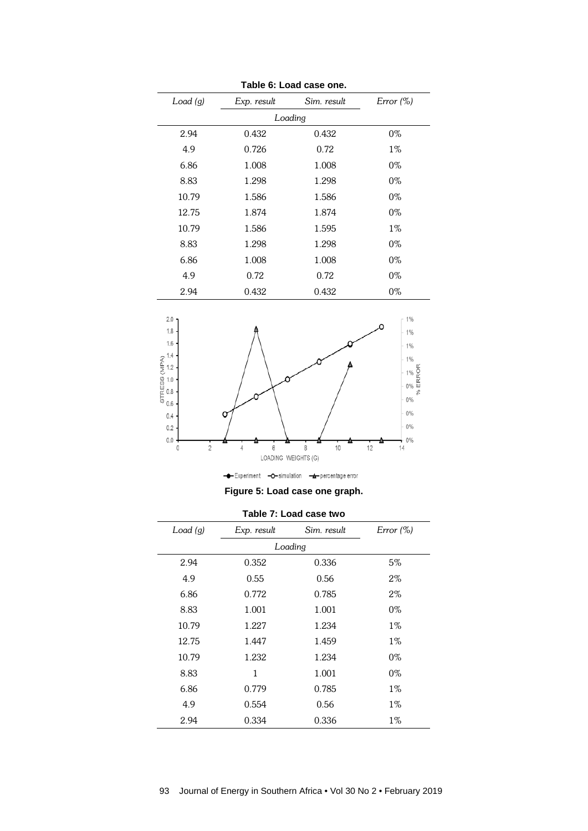| Tapic V. Lugu case UIIc. |         |             |             |           |  |
|--------------------------|---------|-------------|-------------|-----------|--|
|                          | Load(g) | Exp. result | Sim. result | Error (%) |  |
|                          |         |             | Loading     |           |  |
|                          | 2.94    | 0.432       | 0.432       | $0\%$     |  |
|                          | 4.9     | 0.726       | 0.72        | $1\%$     |  |
|                          | 6.86    | 1.008       | 1.008       | $0\%$     |  |
|                          | 8.83    | 1.298       | 1.298       | $0\%$     |  |
|                          | 10.79   | 1.586       | 1.586       | $0\%$     |  |
|                          | 12.75   | 1.874       | 1.874       | $0\%$     |  |
|                          | 10.79   | 1.586       | 1.595       | $1\%$     |  |
|                          | 8.83    | 1.298       | 1.298       | $0\%$     |  |
|                          | 6.86    | 1.008       | 1.008       | $0\%$     |  |
|                          | 4.9     | 0.72        | 0.72        | $0\%$     |  |
|                          | 2.94    | 0.432       | 0.432       | 0%        |  |

**Table 6: Load case one.**



**Figure 5: Load case one graph.**

| Load(g) | Exp. result  | Sim. result | Error (%) |  |
|---------|--------------|-------------|-----------|--|
|         | Loading      |             |           |  |
| 2.94    | 0.352        | 0.336       | 5%        |  |
| 4.9     | 0.55         | 0.56        | $2\%$     |  |
| 6.86    | 0.772        | 0.785       | $2\%$     |  |
| 8.83    | 1.001        | 1.001       | $0\%$     |  |
| 10.79   | 1.227        | 1.234       | $1\%$     |  |
| 12.75   | 1.447        | 1.459       | $1\%$     |  |
| 10.79   | 1.232        | 1.234       | 0%        |  |
| 8.83    | $\mathbf{1}$ | 1.001       | $0\%$     |  |
| 6.86    | 0.779        | 0.785       | $1\%$     |  |
| 4.9     | 0.554        | 0.56        | $1\%$     |  |
| 2.94    | 0.334        | 0.336       | $1\%$     |  |

**Table 7: Load case two**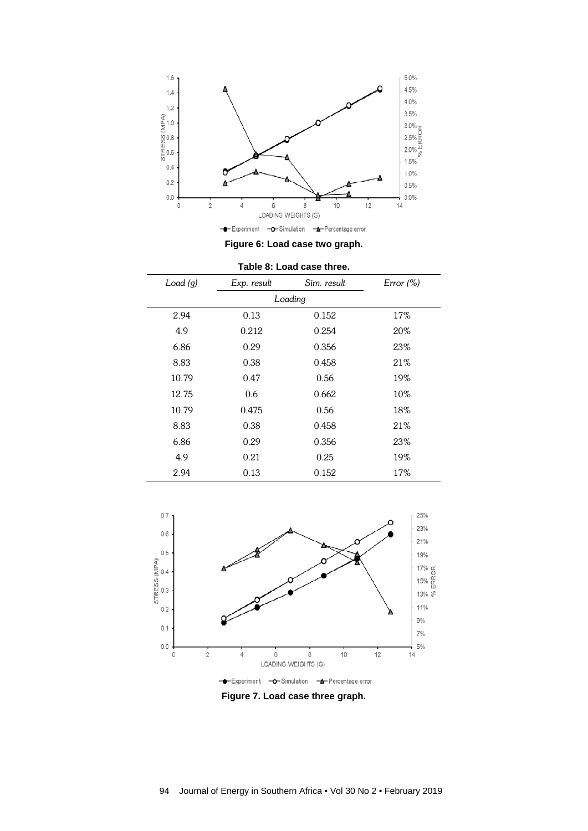

**Figure 6: Load case two graph.**

| Load(g) | Exp. result | Sim. result | Error (%) |  |
|---------|-------------|-------------|-----------|--|
| Loading |             |             |           |  |
| 2.94    | 0.13        | 0.152       | 17%       |  |
| 4.9     | 0.212       | 0.254       | 20%       |  |
| 6.86    | 0.29        | 0.356       | 23%       |  |
| 8.83    | 0.38        | 0.458       | 21\%      |  |
| 10.79   | 0.47        | 0.56        | 19%       |  |
| 12.75   | 0.6         | 0.662       | 10%       |  |
| 10.79   | 0.475       | 0.56        | 18%       |  |
| 8.83    | 0.38        | 0.458       | 21%       |  |
| 6.86    | 0.29        | 0.356       | 23%       |  |
| 4.9     | 0.21        | 0.25        | 19%       |  |
| 2.94    | 0.13        | 0.152       | 17%       |  |



**Figure 7. Load case three graph.**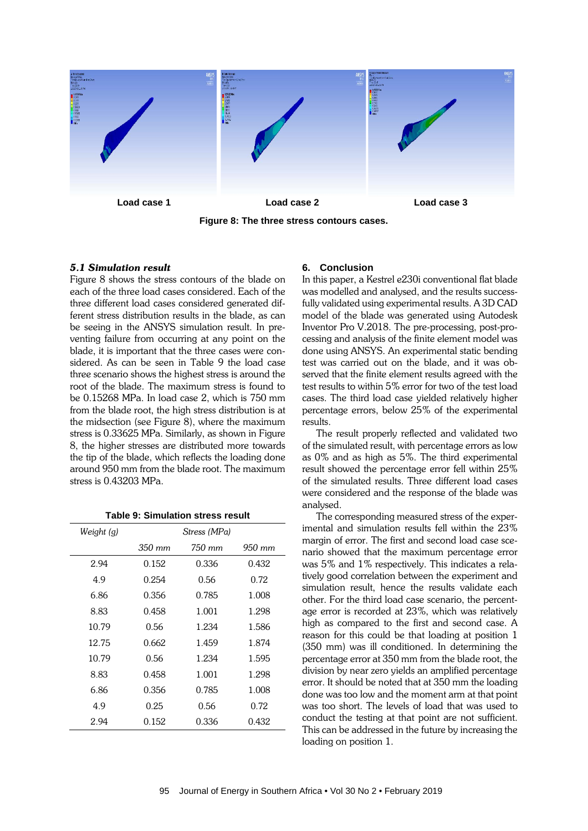

**Figure 8: The three stress contours cases.**

#### *5.1 Simulation result*

Figure 8 shows the stress contours of the blade on each of the three load cases considered. Each of the three different load cases considered generated different stress distribution results in the blade, as can be seeing in the ANSYS simulation result. In preventing failure from occurring at any point on the blade, it is important that the three cases were considered. As can be seen in Table 9 the load case three scenario shows the highest stress is around the root of the blade. The maximum stress is found to be 0.15268 MPa. In load case 2, which is 750 mm from the blade root, the high stress distribution is at the midsection (see Figure 8), where the maximum stress is 0.33625 MPa. Similarly, as shown in Figure 8, the higher stresses are distributed more towards the tip of the blade, which reflects the loading done around 950 mm from the blade root. The maximum stress is 0.43203 MPa.

| Stress (MPa) |        |                      |
|--------------|--------|----------------------|
| 350 mm       | 750 mm | $950 \; \mathrm{mm}$ |
| 0.152        | 0.336  | 0.432                |
| 0.254        | 0.56   | 0.72                 |
| 0.356        | 0.785  | 1.008                |
| 0.458        | 1.001  | 1.298                |
| 0.56         | 1.234  | 1.586                |
| 0.662        | 1.459  | 1.874                |
| 0.56         | 1.234  | 1.595                |
| 0.458        | 1.001  | 1.298                |
| 0.356        | 0.785  | 1.008                |
| 0.25         | 0.56   | 0.72                 |
| 0.152        | 0.336  | 0.432                |
|              |        |                      |

**Table 9: Simulation stress result**

#### **6. Conclusion**

In this paper, a Kestrel e230i conventional flat blade was modelled and analysed, and the results successfully validated using experimental results. A 3D CAD model of the blade was generated using Autodesk Inventor Pro V.2018. The pre-processing, post-processing and analysis of the finite element model was done using ANSYS. An experimental static bending test was carried out on the blade, and it was observed that the finite element results agreed with the test results to within 5% error for two of the test load cases. The third load case yielded relatively higher percentage errors, below 25% of the experimental results.

The result properly reflected and validated two of the simulated result, with percentage errors as low as 0% and as high as 5%. The third experimental result showed the percentage error fell within 25% of the simulated results. Three different load cases were considered and the response of the blade was analysed.

The corresponding measured stress of the experimental and simulation results fell within the 23% margin of error. The first and second load case scenario showed that the maximum percentage error was 5% and 1% respectively. This indicates a relatively good correlation between the experiment and simulation result, hence the results validate each other. For the third load case scenario, the percentage error is recorded at 23%, which was relatively high as compared to the first and second case. A reason for this could be that loading at position 1 (350 mm) was ill conditioned. In determining the percentage error at 350 mm from the blade root, the division by near zero yields an amplified percentage error. It should be noted that at 350 mm the loading done was too low and the moment arm at that point was too short. The levels of load that was used to conduct the testing at that point are not sufficient. This can be addressed in the future by increasing the loading on position 1.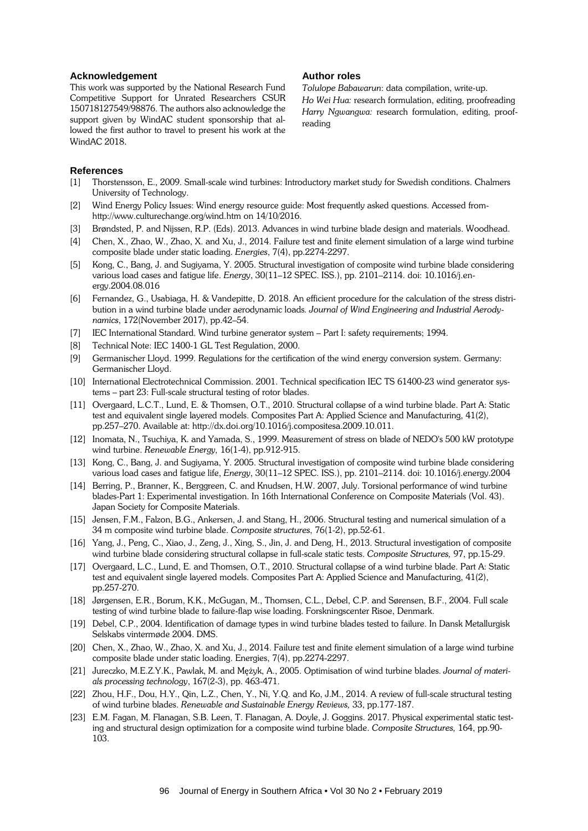#### **Acknowledgement**

This work was supported by the National Research Fund Competitive Support for Unrated Researchers CSUR 150718127549/98876. The authors also acknowledge the support given by WindAC student sponsorship that allowed the first author to travel to present his work at the WindAC 2018.

#### **Author roles**

*Tolulope Babawarun*: data compilation, write-up.

*Ho Wei Hua:* research formulation, editing, proofreading *Harry Ngwangwa:* research formulation, editing, proofreading

# **References**<br>[1] Thorster

- [1] Thorstensson, E., 2009. Small-scale wind turbines: Introductory market study for Swedish conditions. Chalmers University of Technology.
- [2] Wind Energy Policy Issues: Wind energy resource guide: Most frequently asked questions. Accessed fromhttp://www.culturechange.org/wind.htm on 14/10/2016.
- [3] Brøndsted, P. and Nijssen, R.P. (Eds). 2013. Advances in wind turbine blade design and materials. Woodhead.
- [4] Chen, X., Zhao, W., Zhao, X. and Xu, J., 2014. Failure test and finite element simulation of a large wind turbine composite blade under static loading. *Energies*, 7(4), pp.2274-2297.
- [5] Kong, C., Bang, J. and Sugiyama, Y. 2005. Structural investigation of composite wind turbine blade considering various load cases and fatigue life. *Energ*y, 30(11–12 SPEC. ISS.), pp. 2101–2114. doi: 10.1016/j.energy.2004.08.016
- [6] Fernandez, G., Usabiaga, H. & Vandepitte, D. 2018. An efficient procedure for the calculation of the stress distribution in a wind turbine blade under aerodynamic loads*. Journal of Wind Engineering and Industrial Aerodynamics*, 172(November 2017), pp.42–54.
- [7] IEC International Standard. Wind turbine generator system Part I: safety requirements; 1994.
- [8] Technical Note: IEC 1400-1 GL Test Regulation, 2000.
- [9] Germanischer Lloyd. 1999. Regulations for the certification of the wind energy conversion system. Germany: Germanischer Lloyd.
- [10] International Electrotechnical Commission. 2001. Technical specification IEC TS 61400-23 wind generator systems – part 23: Full-scale structural testing of rotor blades.
- [11] Overgaard, L.C.T., Lund, E. & Thomsen, O.T., 2010. Structural collapse of a wind turbine blade. Part A: Static test and equivalent single layered models. Composites Part A: Applied Science and Manufacturing, 41(2), pp.257–270. Available at: http://dx.doi.org/10.1016/j.compositesa.2009.10.011.
- [12] Inomata, N., Tsuchiya, K. and Yamada, S., 1999. Measurement of stress on blade of NEDO's 500 kW prototype wind turbine. *Renewable Energy,* 16(1-4), pp.912-915.
- [13] Kong, C., Bang, J. and Sugiyama, Y. 2005. Structural investigation of composite wind turbine blade considering various load cases and fatigue life, *Energy*, 30(11–12 SPEC. ISS.), pp. 2101–2114. doi: 10.1016/j.energy.2004
- [14] Berring, P., Branner, K., Berggreen, C. and Knudsen, H.W. 2007, July. Torsional performance of wind turbine blades-Part 1: Experimental investigation. In 16th International Conference on Composite Materials (Vol. 43). Japan Society for Composite Materials.
- [15] Jensen, F.M., Falzon, B.G., Ankersen, J. and Stang, H., 2006. Structural testing and numerical simulation of a 34 m composite wind turbine blade. *Composite structures*, 76(1-2), pp.52-61.
- [16] Yang, J., Peng, C., Xiao, J., Zeng, J., Xing, S., Jin, J. and Deng, H., 2013. Structural investigation of composite wind turbine blade considering structural collapse in full-scale static tests. *Composite Structures,* 97, pp.15-29.
- [17] Overgaard, L.C., Lund, E. and Thomsen, O.T., 2010. Structural collapse of a wind turbine blade. Part A: Static test and equivalent single layered models. Composites Part A: Applied Science and Manufacturing, 41(2), pp.257-270.
- [18] Jørgensen, E.R., Borum, K.K., McGugan, M., Thomsen, C.L., Debel, C.P. and Sørensen, B.F., 2004. Full scale testing of wind turbine blade to failure-flap wise loading. Forskningscenter Risoe, Denmark.
- [19] Debel, C.P., 2004. Identification of damage types in wind turbine blades tested to failure. In Dansk Metallurgisk Selskabs vintermøde 2004. DMS.
- [20] Chen, X., Zhao, W., Zhao, X. and Xu, J., 2014. Failure test and finite element simulation of a large wind turbine composite blade under static loading. Energies, 7(4), pp.2274-2297.
- [21] Jureczko, M.E.Z.Y.K., Pawlak, M. and Mężyk, A., 2005. Optimisation of wind turbine blades. *Journal of materials processing technology*, 167(2-3), pp. 463-471.
- [22] Zhou, H.F., Dou, H.Y., Qin, L.Z., Chen, Y., Ni, Y.Q. and Ko, J.M., 2014. A review of full-scale structural testing of wind turbine blades. *Renewable and Sustainable Energy Reviews,* 33, pp.177-187.
- [23] E.M. Fagan, M. Flanagan, S.B. Leen, T. Flanagan, A. Doyle, J. Goggins. 2017. Physical experimental static testing and structural design optimization for a composite wind turbine blade. *Composite Structures,* 164, pp.90- 103.